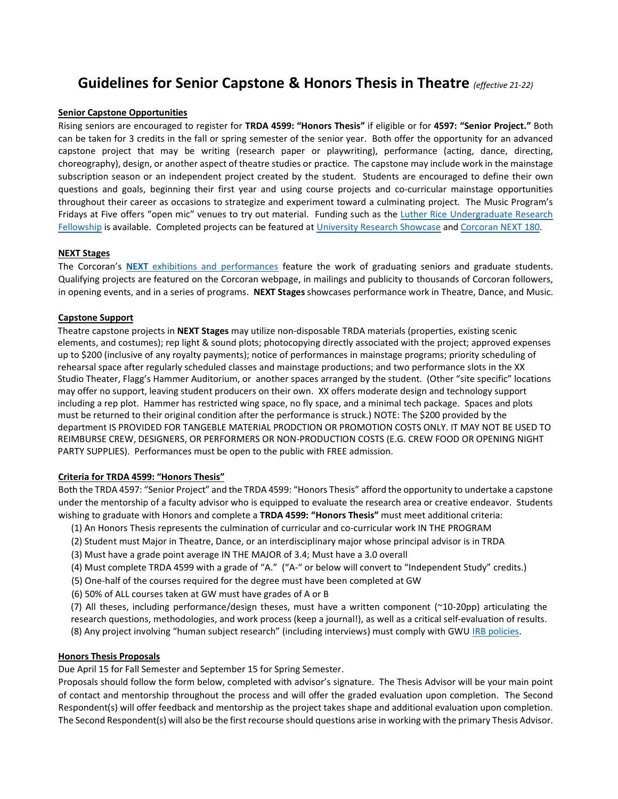# **Guidelines for Senior Capstone & Honors Thesis in Theatre** *(effective 21-22)*

## **Senior Capstone Opportunities**

Rising seniors are encouraged to register for **TRDA 4599: "Honors Thesis"** if eligible or for **4597: "Senior Project."** Both can be taken for 3 credits in the fall or spring semester of the senior year. Both offer the opportunity for an advanced capstone project that may be writing (research paper or playwriting), performance (acting, dance, directing, choreography), design, or another aspect of theatre studies or practice. The capstone may include work in the mainstage subscription season or an independent project created by the student. Students are encouraged to define their own questions and goals, beginning their first year and using course projects and co-curricular mainstage opportunities throughout their career as occasions to strategize and experiment toward a culminating project. The Music Program's Fridays at Five offers "open mic" venues to try out material. Funding such as the Luther Rice Undergraduate Research [Fellowship](https://academiccommons.gwu.edu/luther-rice-undergraduate-research-fellowship) is available. Completed projects can be featured at [University Research Showcase](https://researchshowcase.gwu.edu/) an[d Corcoran NEXT 180.](https://corcoran.gwu.edu/next-180)

# **NEXT Stages**

The Corcoran's **NEXT** [exhibitions and performances](https://corcoran.gwu.edu/next-exhibition) feature the work of graduating seniors and graduate students. Qualifying projects are featured on the Corcoran webpage, in mailings and publicity to thousands of Corcoran followers, in opening events, and in a series of programs. **NEXT Stages** showcases performance work in Theatre, Dance, and Music.

# **Capstone Support**

Theatre capstone projects in **NEXT Stages** may utilize non-disposable TRDA materials (properties, existing scenic elements, and costumes); rep light & sound plots; photocopying directly associated with the project; approved expenses up to \$200 (inclusive of any royalty payments); notice of performances in mainstage programs; priority scheduling of rehearsal space after regularly scheduled classes and mainstage productions; and two performance slots in the XX Studio Theater, Flagg's Hammer Auditorium, or another spaces arranged by the student. (Other "site specific" locations may offer no support, leaving student producers on their own. XX offers moderate design and technology support including a rep plot. Hammer has restricted wing space, no fly space, and a minimal tech package. Spaces and plots must be returned to their original condition after the performance is struck.) NOTE: The \$200 provided by the department IS PROVIDED FOR TANGEBLE MATERIAL PRODCTION OR PROMOTION COSTS ONLY. IT MAY NOT BE USED TO REIMBURSE CREW, DESIGNERS, OR PERFORMERS OR NON-PRODUCTION COSTS (E.G. CREW FOOD OR OPENING NIGHT PARTY SUPPLIES). Performances must be open to the public with FREE admission.

# **Criteria for TRDA 4599: "Honors Thesis"**

Both the TRDA 4597: "Senior Project" and the TRDA 4599: "Honors Thesis" afford the opportunity to undertake a capstone under the mentorship of a faculty advisor who is equipped to evaluate the research area or creative endeavor. Students wishing to graduate with Honors and complete a **TRDA 4599: "Honors Thesis"** must meet additional criteria:

- (1) An Honors Thesis represents the culmination of curricular and co-curricular work IN THE PROGRAM
- (2) Student must Major in Theatre, Dance, or an interdisciplinary major whose principal advisor is in TRDA
- (3) Must have a grade point average IN THE MAJOR of 3.4; Must have a 3.0 overall
- (4) Must complete TRDA 4599 with a grade of "A." ("A-" or below will convert to "Independent Study" credits.)
- (5) One-half of the courses required for the degree must have been completed at GW

(6) 50% of ALL courses taken at GW must have grades of A or B

(7) All theses, including performance/design theses, must have a written component (~10-20pp) articulating the research questions, methodologies, and work process (keep a journal!), as well as a critical self-evaluation of results. (8) Any project involving "human subject research" (including interviews) must comply with GWU [IRB policies.](https://humanresearch.gwu.edu/faqs#Waiver)

## **Honors Thesis Proposals**

Due April 15 for Fall Semester and September 15 for Spring Semester.

Proposals should follow the form below, completed with advisor's signature. The Thesis Advisor will be your main point of contact and mentorship throughout the process and will offer the graded evaluation upon completion. The Second Respondent(s) will offer feedback and mentorship as the project takes shape and additional evaluation upon completion. The Second Respondent(s) will also be the first recourse should questions arise in working with the primary Thesis Advisor.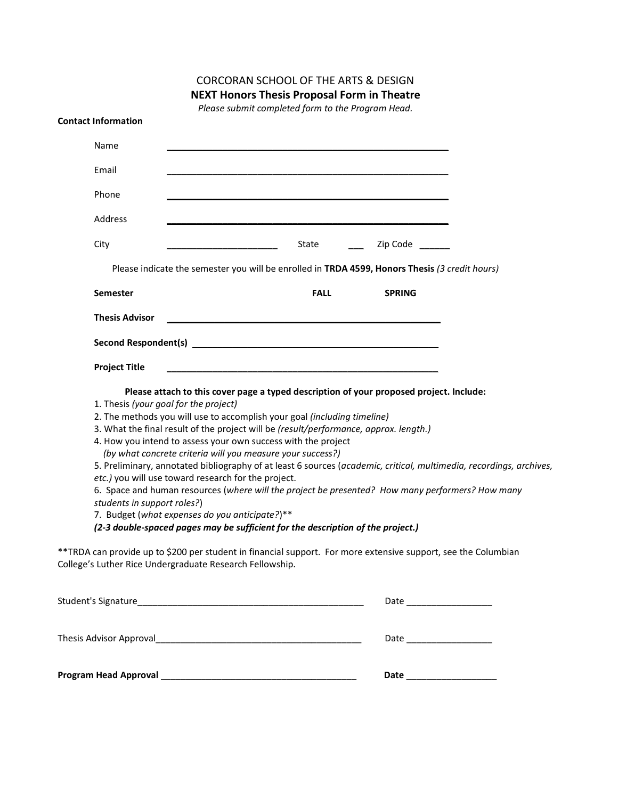|                                                                      | <b>NEXT Honors Thesis Proposal Form in Theatre</b>                                                                                                                                                                                                                                                                                                                                                                                                                                                                                                                                                                                                                                                                                                                                                                 |                             |
|----------------------------------------------------------------------|--------------------------------------------------------------------------------------------------------------------------------------------------------------------------------------------------------------------------------------------------------------------------------------------------------------------------------------------------------------------------------------------------------------------------------------------------------------------------------------------------------------------------------------------------------------------------------------------------------------------------------------------------------------------------------------------------------------------------------------------------------------------------------------------------------------------|-----------------------------|
|                                                                      | Please submit completed form to the Program Head.                                                                                                                                                                                                                                                                                                                                                                                                                                                                                                                                                                                                                                                                                                                                                                  |                             |
| <b>Contact Information</b>                                           |                                                                                                                                                                                                                                                                                                                                                                                                                                                                                                                                                                                                                                                                                                                                                                                                                    |                             |
| Name                                                                 |                                                                                                                                                                                                                                                                                                                                                                                                                                                                                                                                                                                                                                                                                                                                                                                                                    |                             |
| Email                                                                |                                                                                                                                                                                                                                                                                                                                                                                                                                                                                                                                                                                                                                                                                                                                                                                                                    |                             |
| Phone                                                                |                                                                                                                                                                                                                                                                                                                                                                                                                                                                                                                                                                                                                                                                                                                                                                                                                    |                             |
| Address                                                              |                                                                                                                                                                                                                                                                                                                                                                                                                                                                                                                                                                                                                                                                                                                                                                                                                    |                             |
| City                                                                 | State                                                                                                                                                                                                                                                                                                                                                                                                                                                                                                                                                                                                                                                                                                                                                                                                              | Zip Code                    |
|                                                                      | Please indicate the semester you will be enrolled in TRDA 4599, Honors Thesis (3 credit hours)                                                                                                                                                                                                                                                                                                                                                                                                                                                                                                                                                                                                                                                                                                                     |                             |
| <b>Semester</b>                                                      | <b>FALL</b>                                                                                                                                                                                                                                                                                                                                                                                                                                                                                                                                                                                                                                                                                                                                                                                                        | <b>SPRING</b>               |
| <b>Thesis Advisor</b>                                                |                                                                                                                                                                                                                                                                                                                                                                                                                                                                                                                                                                                                                                                                                                                                                                                                                    |                             |
|                                                                      |                                                                                                                                                                                                                                                                                                                                                                                                                                                                                                                                                                                                                                                                                                                                                                                                                    |                             |
| <b>Project Title</b>                                                 | <u> 1989 - Johann Stein, marking and de Britain and de Britain and de Britain and de Britain and de Britain and d</u>                                                                                                                                                                                                                                                                                                                                                                                                                                                                                                                                                                                                                                                                                              |                             |
| 1. Thesis (your goal for the project)<br>students in support roles?) | Please attach to this cover page a typed description of your proposed project. Include:<br>2. The methods you will use to accomplish your goal (including timeline)<br>3. What the final result of the project will be (result/performance, approx. length.)<br>4. How you intend to assess your own success with the project<br>(by what concrete criteria will you measure your success?)<br>5. Preliminary, annotated bibliography of at least 6 sources (academic, critical, multimedia, recordings, archives,<br>etc.) you will use toward research for the project.<br>6. Space and human resources (where will the project be presented? How many performers? How many<br>7. Budget (what expenses do you anticipate?)**<br>(2-3 double-spaced pages may be sufficient for the description of the project.) |                             |
|                                                                      | **TRDA can provide up to \$200 per student in financial support. For more extensive support, see the Columbian<br>College's Luther Rice Undergraduate Research Fellowship.                                                                                                                                                                                                                                                                                                                                                                                                                                                                                                                                                                                                                                         |                             |
|                                                                      |                                                                                                                                                                                                                                                                                                                                                                                                                                                                                                                                                                                                                                                                                                                                                                                                                    | Date ______________________ |
|                                                                      |                                                                                                                                                                                                                                                                                                                                                                                                                                                                                                                                                                                                                                                                                                                                                                                                                    | Date ___________________    |
|                                                                      |                                                                                                                                                                                                                                                                                                                                                                                                                                                                                                                                                                                                                                                                                                                                                                                                                    | Date ____________________   |

CORCORAN SCHOOL OF THE ARTS & DESIGN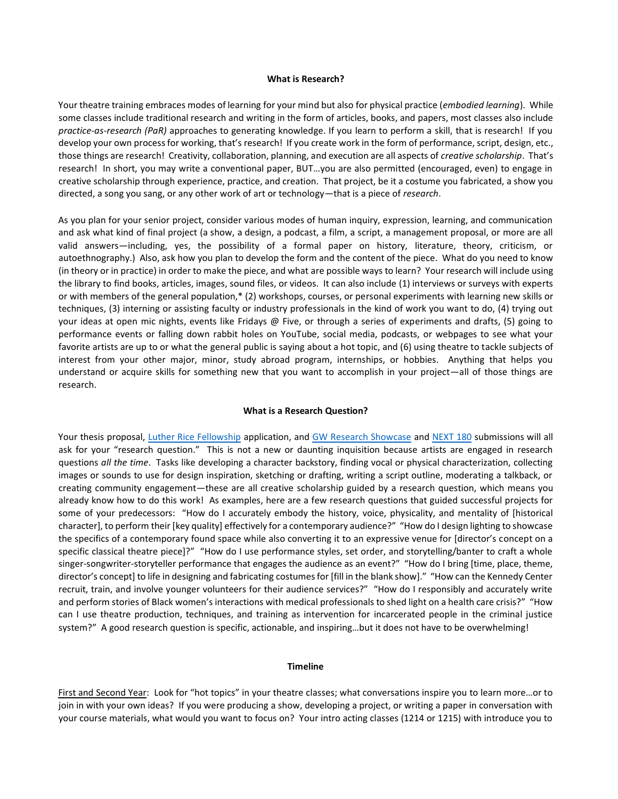#### **What is Research?**

Your theatre training embraces modes of learning for your mind but also for physical practice (*embodied learning*). While some classes include traditional research and writing in the form of articles, books, and papers, most classes also include *practice-as-research (PaR)* approaches to generating knowledge. If you learn to perform a skill, that is research! If you develop your own process for working, that's research! If you create work in the form of performance, script, design, etc., those things are research! Creativity, collaboration, planning, and execution are all aspects of *creative scholarship*. That's research! In short, you may write a conventional paper, BUT…you are also permitted (encouraged, even) to engage in creative scholarship through experience, practice, and creation. That project, be it a costume you fabricated, a show you directed, a song you sang, or any other work of art or technology—that is a piece of *research*.

As you plan for your senior project, consider various modes of human inquiry, expression, learning, and communication and ask what kind of final project (a show, a design, a podcast, a film, a script, a management proposal, or more are all valid answers—including, yes, the possibility of a formal paper on history, literature, theory, criticism, or autoethnography.) Also, ask how you plan to develop the form and the content of the piece. What do you need to know (in theory or in practice) in order to make the piece, and what are possible ways to learn? Your research will include using the library to find books, articles, images, sound files, or videos. It can also include (1) interviews or surveys with experts or with members of the general population,\* (2) workshops, courses, or personal experiments with learning new skills or techniques, (3) interning or assisting faculty or industry professionals in the kind of work you want to do, (4) trying out your ideas at open mic nights, events like Fridays @ Five, or through a series of experiments and drafts, (5) going to performance events or falling down rabbit holes on YouTube, social media, podcasts, or webpages to see what your favorite artists are up to or what the general public is saying about a hot topic, and (6) using theatre to tackle subjects of interest from your other major, minor, study abroad program, internships, or hobbies. Anything that helps you understand or acquire skills for something new that you want to accomplish in your project—all of those things are research.

## **What is a Research Question?**

Your thesis proposal, [Luther Rice Fellowship](https://columbian.gwu.edu/luther-rice-undergraduate-research-fellowship) application, and [GW Research Showcase](https://researchshowcase.gwu.edu/) and [NEXT 180](https://corcoran.gwu.edu/next-180) submissions will all ask for your "research question." This is not a new or daunting inquisition because artists are engaged in research questions *all the time*. Tasks like developing a character backstory, finding vocal or physical characterization, collecting images or sounds to use for design inspiration, sketching or drafting, writing a script outline, moderating a talkback, or creating community engagement—these are all creative scholarship guided by a research question, which means you already know how to do this work! As examples, here are a few research questions that guided successful projects for some of your predecessors: "How do I accurately embody the history, voice, physicality, and mentality of [historical character], to perform their [key quality] effectively for a contemporary audience?" "How do I design lighting to showcase the specifics of a contemporary found space while also converting it to an expressive venue for [director's concept on a specific classical theatre piece]?" "How do I use performance styles, set order, and storytelling/banter to craft a whole singer-songwriter-storyteller performance that engages the audience as an event?" "How do I bring [time, place, theme, director's concept] to life in designing and fabricating costumes for [fill in the blank show]." "How can the Kennedy Center recruit, train, and involve younger volunteers for their audience services?" "How do I responsibly and accurately write and perform stories of Black women's interactions with medical professionals to shed light on a health care crisis?" "How can I use theatre production, techniques, and training as intervention for incarcerated people in the criminal justice system?" A good research question is specific, actionable, and inspiring…but it does not have to be overwhelming!

# **Timeline**

First and Second Year: Look for "hot topics" in your theatre classes; what conversations inspire you to learn more...or to join in with your own ideas? If you were producing a show, developing a project, or writing a paper in conversation with your course materials, what would you want to focus on? Your intro acting classes (1214 or 1215) with introduce you to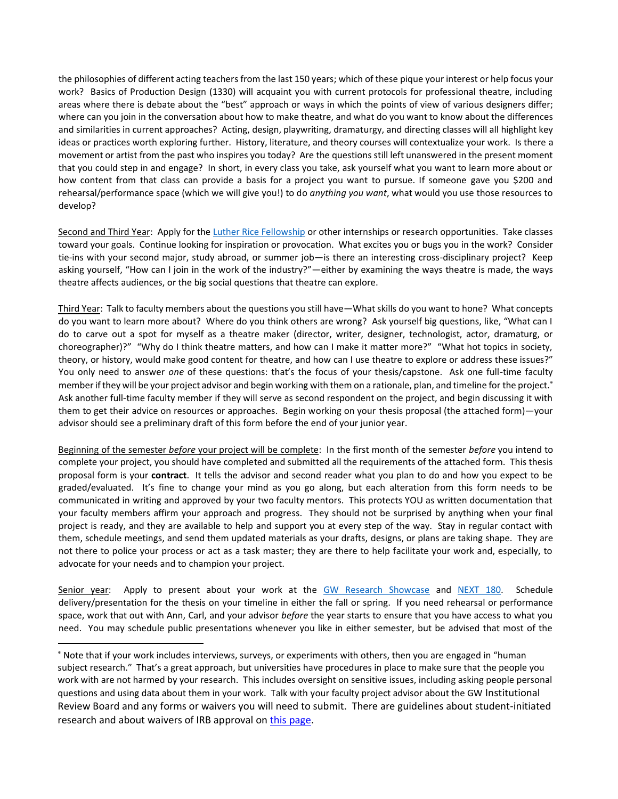the philosophies of different acting teachers from the last 150 years; which of these pique your interest or help focus your work? Basics of Production Design (1330) will acquaint you with current protocols for professional theatre, including areas where there is debate about the "best" approach or ways in which the points of view of various designers differ; where can you join in the conversation about how to make theatre, and what do you want to know about the differences and similarities in current approaches? Acting, design, playwriting, dramaturgy, and directing classes will all highlight key ideas or practices worth exploring further. History, literature, and theory courses will contextualize your work. Is there a movement or artist from the past who inspires you today? Are the questions still left unanswered in the present moment that you could step in and engage? In short, in every class you take, ask yourself what you want to learn more about or how content from that class can provide a basis for a project you want to pursue. If someone gave you \$200 and rehearsal/performance space (which we will give you!) to do *anything you want*, what would you use those resources to develop?

Second and Third Year: Apply for the [Luther Rice Fellowship](https://columbian.gwu.edu/luther-rice-undergraduate-research-fellowship) or other internships or research opportunities. Take classes toward your goals. Continue looking for inspiration or provocation. What excites you or bugs you in the work? Consider tie-ins with your second major, study abroad, or summer job—is there an interesting cross-disciplinary project? Keep asking yourself, "How can I join in the work of the industry?"—either by examining the ways theatre is made, the ways theatre affects audiences, or the big social questions that theatre can explore.

Third Year: Talk to faculty members about the questions you still have—What skills do you want to hone? What concepts do you want to learn more about? Where do you think others are wrong? Ask yourself big questions, like, "What can I do to carve out a spot for myself as a theatre maker (director, writer, designer, technologist, actor, dramaturg, or choreographer)?" "Why do I think theatre matters, and how can I make it matter more?" "What hot topics in society, theory, or history, would make good content for theatre, and how can I use theatre to explore or address these issues?" You only need to answer *one* of these questions: that's the focus of your thesis/capstone. Ask one full-time faculty member if they will be your project advisor and begin working with them on a rationale, plan, and timeline for the project. Ask another full-time faculty member if they will serve as second respondent on the project, and begin discussing it with them to get their advice on resources or approaches. Begin working on your thesis proposal (the attached form)—your advisor should see a preliminary draft of this form before the end of your junior year.

Beginning of the semester *before* your project will be complete: In the first month of the semester *before* you intend to complete your project, you should have completed and submitted all the requirements of the attached form. This thesis proposal form is your **contract**. It tells the advisor and second reader what you plan to do and how you expect to be graded/evaluated. It's fine to change your mind as you go along, but each alteration from this form needs to be communicated in writing and approved by your two faculty mentors. This protects YOU as written documentation that your faculty members affirm your approach and progress. They should not be surprised by anything when your final project is ready, and they are available to help and support you at every step of the way. Stay in regular contact with them, schedule meetings, and send them updated materials as your drafts, designs, or plans are taking shape. They are not there to police your process or act as a task master; they are there to help facilitate your work and, especially, to advocate for your needs and to champion your project.

Senior year: Apply to present about your work at the [GW Research Showcase](https://researchshowcase.gwu.edu/) and [NEXT 180.](https://corcoran.gwu.edu/next-180) Schedule delivery/presentation for the thesis on your timeline in either the fall or spring. If you need rehearsal or performance space, work that out with Ann, Carl, and your advisor *before* the year starts to ensure that you have access to what you need. You may schedule public presentations whenever you like in either semester, but be advised that most of the

<sup>\*</sup> Note that if your work includes interviews, surveys, or experiments with others, then you are engaged in "human subject research." That's a great approach, but universities have procedures in place to make sure that the people you work with are not harmed by your research. This includes oversight on sensitive issues, including asking people personal questions and using data about them in your work. Talk with your faculty project advisor about the GW Institutional Review Board and any forms or waivers you will need to submit. There are guidelines about student-initiated research and about waivers of IRB approval on [this page.](https://humanresearch.gwu.edu/faqs)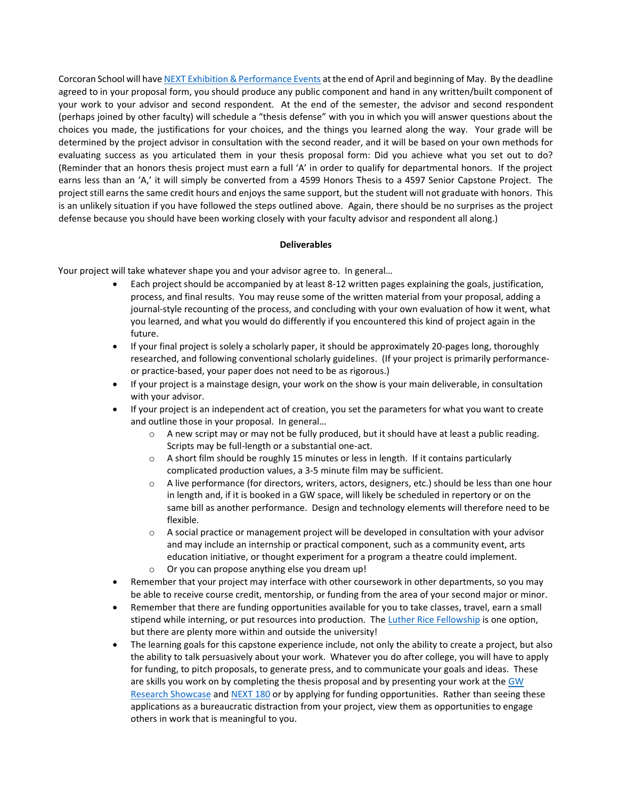Corcoran School will hav[e NEXT Exhibition & Performance Events](https://corcoran.gwu.edu/next-exhibition) at the end of April and beginning of May. By the deadline agreed to in your proposal form, you should produce any public component and hand in any written/built component of your work to your advisor and second respondent. At the end of the semester, the advisor and second respondent (perhaps joined by other faculty) will schedule a "thesis defense" with you in which you will answer questions about the choices you made, the justifications for your choices, and the things you learned along the way. Your grade will be determined by the project advisor in consultation with the second reader, and it will be based on your own methods for evaluating success as you articulated them in your thesis proposal form: Did you achieve what you set out to do? (Reminder that an honors thesis project must earn a full 'A' in order to qualify for departmental honors. If the project earns less than an 'A,' it will simply be converted from a 4599 Honors Thesis to a 4597 Senior Capstone Project. The project still earns the same credit hours and enjoys the same support, but the student will not graduate with honors. This is an unlikely situation if you have followed the steps outlined above. Again, there should be no surprises as the project defense because you should have been working closely with your faculty advisor and respondent all along.)

# **Deliverables**

Your project will take whatever shape you and your advisor agree to. In general…

- Each project should be accompanied by at least 8-12 written pages explaining the goals, justification, process, and final results. You may reuse some of the written material from your proposal, adding a journal-style recounting of the process, and concluding with your own evaluation of how it went, what you learned, and what you would do differently if you encountered this kind of project again in the future.
- If your final project is solely a scholarly paper, it should be approximately 20-pages long, thoroughly researched, and following conventional scholarly guidelines. (If your project is primarily performanceor practice-based, your paper does not need to be as rigorous.)
- If your project is a mainstage design, your work on the show is your main deliverable, in consultation with your advisor.
- If your project is an independent act of creation, you set the parameters for what you want to create and outline those in your proposal. In general…
	- $\circ$  A new script may or may not be fully produced, but it should have at least a public reading. Scripts may be full-length or a substantial one-act.
	- $\circ$  A short film should be roughly 15 minutes or less in length. If it contains particularly complicated production values, a 3-5 minute film may be sufficient.
	- o A live performance (for directors, writers, actors, designers, etc.) should be less than one hour in length and, if it is booked in a GW space, will likely be scheduled in repertory or on the same bill as another performance. Design and technology elements will therefore need to be flexible.
	- $\circ$  A social practice or management project will be developed in consultation with your advisor and may include an internship or practical component, such as a community event, arts education initiative, or thought experiment for a program a theatre could implement. o Or you can propose anything else you dream up!
	-
- Remember that your project may interface with other coursework in other departments, so you may be able to receive course credit, mentorship, or funding from the area of your second major or minor.
- Remember that there are funding opportunities available for you to take classes, travel, earn a small stipend while interning, or put resources into production. Th[e Luther Rice Fellowship](https://columbian.gwu.edu/luther-rice-undergraduate-research-fellowship) is one option, but there are plenty more within and outside the university!
- The learning goals for this capstone experience include, not only the ability to create a project, but also the ability to talk persuasively about your work. Whatever you do after college, you will have to apply for funding, to pitch proposals, to generate press, and to communicate your goals and ideas. These are skills you work on by completing the thesis proposal and by presenting your work at the GW [Research Showcase](https://researchshowcase.gwu.edu/) and [NEXT 180](https://corcoran.gwu.edu/next-180) or by applying for funding opportunities. Rather than seeing these applications as a bureaucratic distraction from your project, view them as opportunities to engage others in work that is meaningful to you.